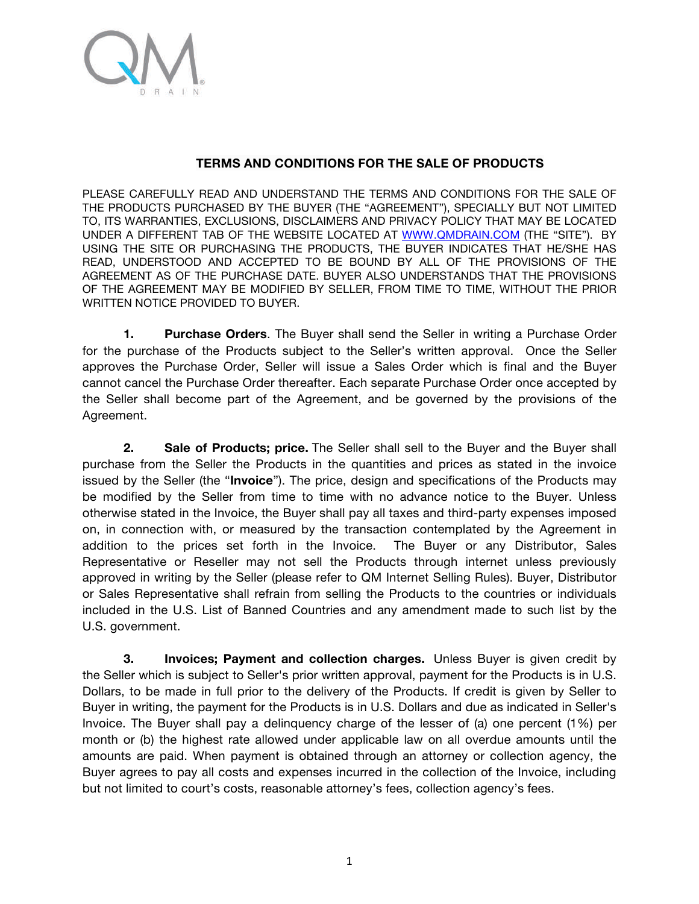

## **TERMS AND CONDITIONS FOR THE SALE OF PRODUCTS**

PLEASE CAREFULLY READ AND UNDERSTAND THE TERMS AND CONDITIONS FOR THE SALE OF THE PRODUCTS PURCHASED BY THE BUYER (THE "AGREEMENT"), SPECIALLY BUT NOT LIMITED TO, ITS WARRANTIES, EXCLUSIONS, DISCLAIMERS AND PRIVACY POLICY THAT MAY BE LOCATED UNDER A DIFFERENT TAB OF THE WEBSITE LOCATED AT WWW.QMDRAIN.COM (THE "SITE"). BY USING THE SITE OR PURCHASING THE PRODUCTS, THE BUYER INDICATES THAT HE/SHE HAS READ, UNDERSTOOD AND ACCEPTED TO BE BOUND BY ALL OF THE PROVISIONS OF THE AGREEMENT AS OF THE PURCHASE DATE. BUYER ALSO UNDERSTANDS THAT THE PROVISIONS OF THE AGREEMENT MAY BE MODIFIED BY SELLER, FROM TIME TO TIME, WITHOUT THE PRIOR WRITTEN NOTICE PROVIDED TO BUYER.

**1. Purchase Orders**. The Buyer shall send the Seller in writing a Purchase Order for the purchase of the Products subject to the Seller's written approval. Once the Seller approves the Purchase Order, Seller will issue a Sales Order which is final and the Buyer cannot cancel the Purchase Order thereafter. Each separate Purchase Order once accepted by the Seller shall become part of the Agreement, and be governed by the provisions of the Agreement.

**2. Sale of Products; price.** The Seller shall sell to the Buyer and the Buyer shall purchase from the Seller the Products in the quantities and prices as stated in the invoice issued by the Seller (the "**Invoice**"). The price, design and specifications of the Products may be modified by the Seller from time to time with no advance notice to the Buyer. Unless otherwise stated in the Invoice, the Buyer shall pay all taxes and third-party expenses imposed on, in connection with, or measured by the transaction contemplated by the Agreement in addition to the prices set forth in the Invoice. The Buyer or any Distributor, Sales Representative or Reseller may not sell the Products through internet unless previously approved in writing by the Seller (please refer to QM Internet Selling Rules). Buyer, Distributor or Sales Representative shall refrain from selling the Products to the countries or individuals included in the U.S. List of Banned Countries and any amendment made to such list by the U.S. government.

**3. Invoices; Payment and collection charges.** Unless Buyer is given credit by the Seller which is subject to Seller's prior written approval, payment for the Products is in U.S. Dollars, to be made in full prior to the delivery of the Products. If credit is given by Seller to Buyer in writing, the payment for the Products is in U.S. Dollars and due as indicated in Seller's Invoice. The Buyer shall pay a delinquency charge of the lesser of (a) one percent (1%) per month or (b) the highest rate allowed under applicable law on all overdue amounts until the amounts are paid. When payment is obtained through an attorney or collection agency, the Buyer agrees to pay all costs and expenses incurred in the collection of the Invoice, including but not limited to court's costs, reasonable attorney's fees, collection agency's fees.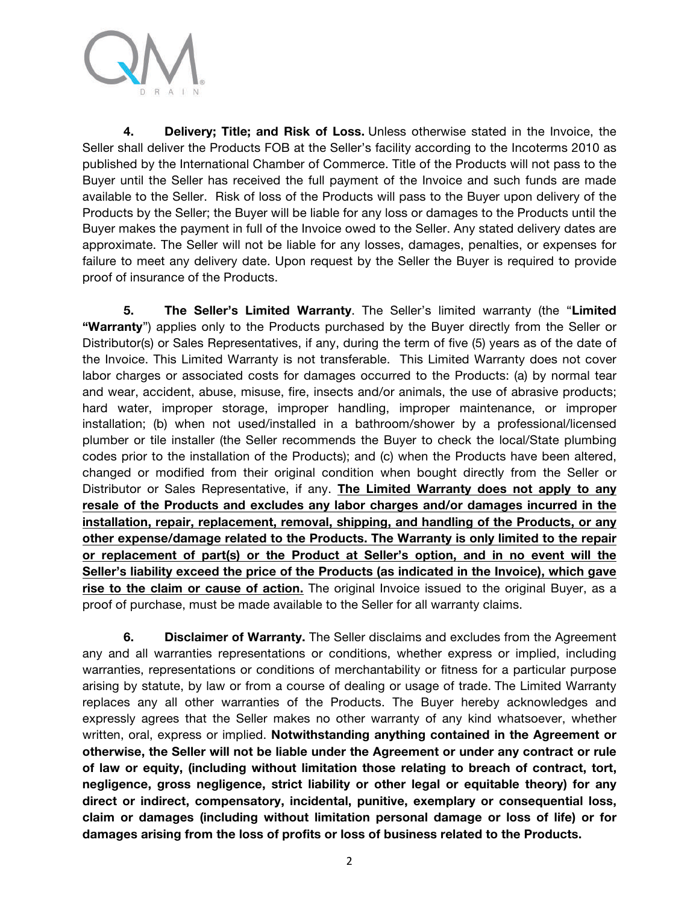

**4. Delivery; Title; and Risk of Loss.** Unless otherwise stated in the Invoice, the Seller shall deliver the Products FOB at the Seller's facility according to the Incoterms 2010 as published by the International Chamber of Commerce. Title of the Products will not pass to the Buyer until the Seller has received the full payment of the Invoice and such funds are made available to the Seller. Risk of loss of the Products will pass to the Buyer upon delivery of the Products by the Seller; the Buyer will be liable for any loss or damages to the Products until the Buyer makes the payment in full of the Invoice owed to the Seller. Any stated delivery dates are approximate. The Seller will not be liable for any losses, damages, penalties, or expenses for failure to meet any delivery date. Upon request by the Seller the Buyer is required to provide proof of insurance of the Products.

**5. The Seller's Limited Warranty**. The Seller's limited warranty (the "**Limited "Warranty**") applies only to the Products purchased by the Buyer directly from the Seller or Distributor(s) or Sales Representatives, if any, during the term of five (5) years as of the date of the Invoice. This Limited Warranty is not transferable. This Limited Warranty does not cover labor charges or associated costs for damages occurred to the Products: (a) by normal tear and wear, accident, abuse, misuse, fire, insects and/or animals, the use of abrasive products; hard water, improper storage, improper handling, improper maintenance, or improper installation; (b) when not used/installed in a bathroom/shower by a professional/licensed plumber or tile installer (the Seller recommends the Buyer to check the local/State plumbing codes prior to the installation of the Products); and (c) when the Products have been altered, changed or modified from their original condition when bought directly from the Seller or Distributor or Sales Representative, if any. **The Limited Warranty does not apply to any resale of the Products and excludes any labor charges and/or damages incurred in the installation, repair, replacement, removal, shipping, and handling of the Products, or any other expense/damage related to the Products. The Warranty is only limited to the repair or replacement of part(s) or the Product at Seller's option, and in no event will the Seller's liability exceed the price of the Products (as indicated in the Invoice), which gave rise to the claim or cause of action.** The original Invoice issued to the original Buyer, as a proof of purchase, must be made available to the Seller for all warranty claims.

**6. Disclaimer of Warranty.** The Seller disclaims and excludes from the Agreement any and all warranties representations or conditions, whether express or implied, including warranties, representations or conditions of merchantability or fitness for a particular purpose arising by statute, by law or from a course of dealing or usage of trade. The Limited Warranty replaces any all other warranties of the Products. The Buyer hereby acknowledges and expressly agrees that the Seller makes no other warranty of any kind whatsoever, whether written, oral, express or implied. **Notwithstanding anything contained in the Agreement or otherwise, the Seller will not be liable under the Agreement or under any contract or rule of law or equity, (including without limitation those relating to breach of contract, tort, negligence, gross negligence, strict liability or other legal or equitable theory) for any direct or indirect, compensatory, incidental, punitive, exemplary or consequential loss, claim or damages (including without limitation personal damage or loss of life) or for damages arising from the loss of profits or loss of business related to the Products.**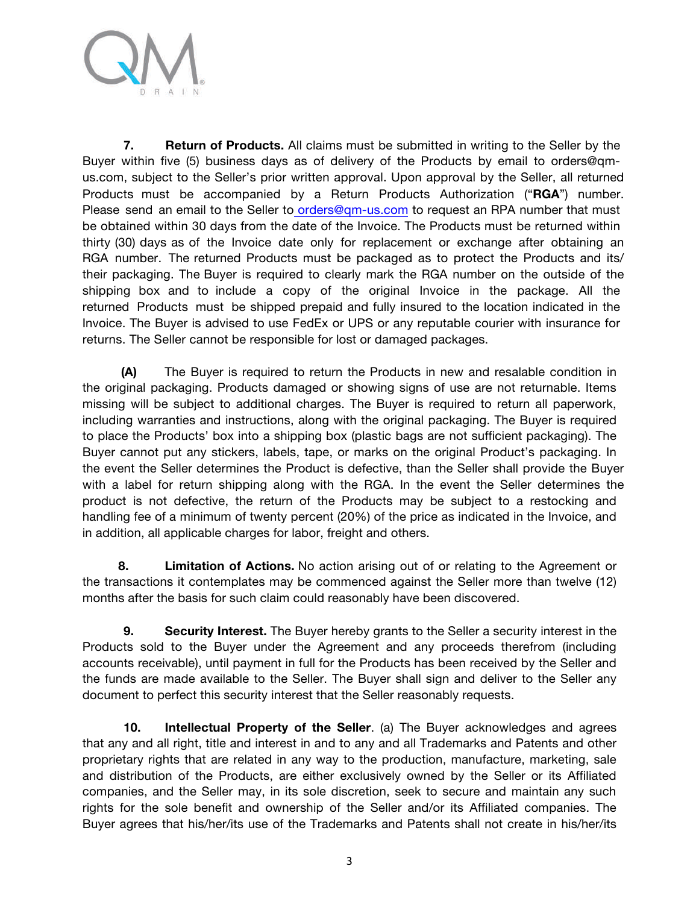

**7. Return of Products.** All claims must be submitted in writing to the Seller by the Buyer within five (5) business days as of delivery of the Products by email to orders@qmus.com, subject to the Seller's prior written approval. Upon approval by the Seller, all returned Products must be accompanied by a Return Products Authorization ("**RGA**") number. Please send an email to the Seller to orders@qm-us.com to request an RPA number that must be obtained within 30 days from the date of the Invoice. The Products must be returned within thirty (30) days as of the Invoice date only for replacement or exchange after obtaining an RGA number. The returned Products must be packaged as to protect the Products and its/ their packaging. The Buyer is required to clearly mark the RGA number on the outside of the shipping box and to include a copy of the original Invoice in the package. All the returned Products must be shipped prepaid and fully insured to the location indicated in the Invoice. The Buyer is advised to use FedEx or UPS or any reputable courier with insurance for returns. The Seller cannot be responsible for lost or damaged packages.

**(A)** The Buyer is required to return the Products in new and resalable condition in the original packaging. Products damaged or showing signs of use are not returnable. Items missing will be subject to additional charges. The Buyer is required to return all paperwork, including warranties and instructions, along with the original packaging. The Buyer is required to place the Products' box into a shipping box (plastic bags are not sufficient packaging). The Buyer cannot put any stickers, labels, tape, or marks on the original Product's packaging. In the event the Seller determines the Product is defective, than the Seller shall provide the Buyer with a label for return shipping along with the RGA. In the event the Seller determines the product is not defective, the return of the Products may be subject to a restocking and handling fee of a minimum of twenty percent (20%) of the price as indicated in the Invoice, and in addition, all applicable charges for labor, freight and others.

**8. Limitation of Actions.** No action arising out of or relating to the Agreement or the transactions it contemplates may be commenced against the Seller more than twelve (12) months after the basis for such claim could reasonably have been discovered.

**9. Security Interest.** The Buyer hereby grants to the Seller a security interest in the Products sold to the Buyer under the Agreement and any proceeds therefrom (including accounts receivable), until payment in full for the Products has been received by the Seller and the funds are made available to the Seller. The Buyer shall sign and deliver to the Seller any document to perfect this security interest that the Seller reasonably requests.

**10. Intellectual Property of the Seller**. (a) The Buyer acknowledges and agrees that any and all right, title and interest in and to any and all Trademarks and Patents and other proprietary rights that are related in any way to the production, manufacture, marketing, sale and distribution of the Products, are either exclusively owned by the Seller or its Affiliated companies, and the Seller may, in its sole discretion, seek to secure and maintain any such rights for the sole benefit and ownership of the Seller and/or its Affiliated companies. The Buyer agrees that his/her/its use of the Trademarks and Patents shall not create in his/her/its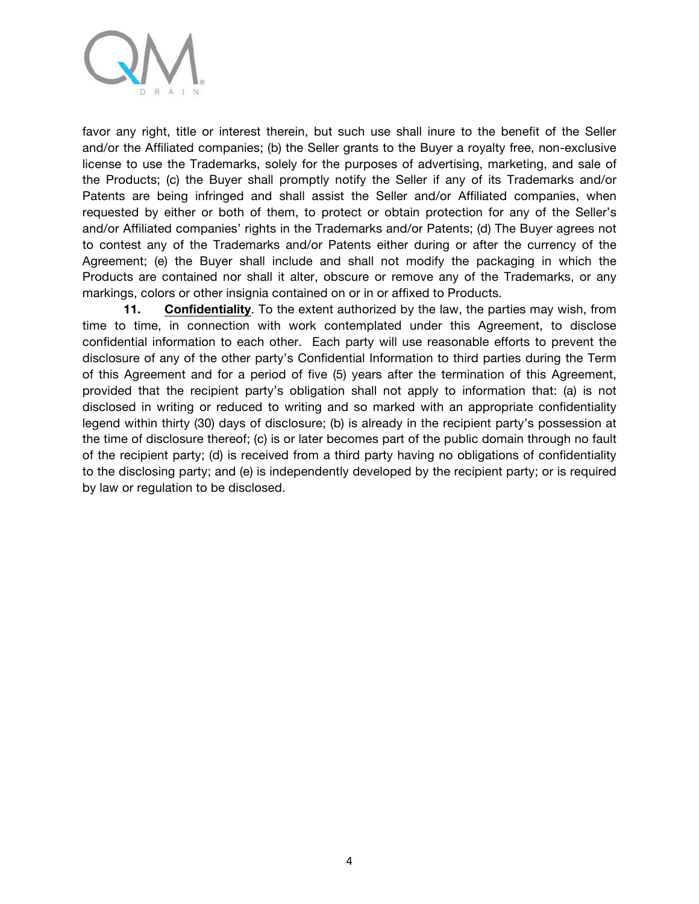

favor any right, title or interest therein, but such use shall inure to the benefit of the Seller and/or the Affiliated companies; (b) the Seller grants to the Buyer a royalty free, non-exclusive license to use the Trademarks, solely for the purposes of advertising, marketing, and sale of the Products; (c) the Buyer shall promptly notify the Seller if any of its Trademarks and/or Patents are being infringed and shall assist the Seller and/or Affiliated companies, when requested by either or both of them, to protect or obtain protection for any of the Seller's and/or Affiliated companies' rights in the Trademarks and/or Patents; (d) The Buyer agrees not to contest any of the Trademarks and/or Patents either during or after the currency of the Agreement; (e) the Buyer shall include and shall not modify the packaging in which the Products are contained nor shall it alter, obscure or remove any of the Trademarks, or any markings, colors or other insignia contained on or in or affixed to Products.

**11. Confidentiality**. To the extent authorized by the law, the parties may wish, from time to time, in connection with work contemplated under this Agreement, to disclose confidential information to each other. Each party will use reasonable efforts to prevent the disclosure of any of the other party's Confidential Information to third parties during the Term of this Agreement and for a period of five (5) years after the termination of this Agreement, provided that the recipient party's obligation shall not apply to information that: (a) is not disclosed in writing or reduced to writing and so marked with an appropriate confidentiality legend within thirty (30) days of disclosure; (b) is already in the recipient party's possession at the time of disclosure thereof; (c) is or later becomes part of the public domain through no fault of the recipient party; (d) is received from a third party having no obligations of confidentiality to the disclosing party; and (e) is independently developed by the recipient party; or is required by law or regulation to be disclosed.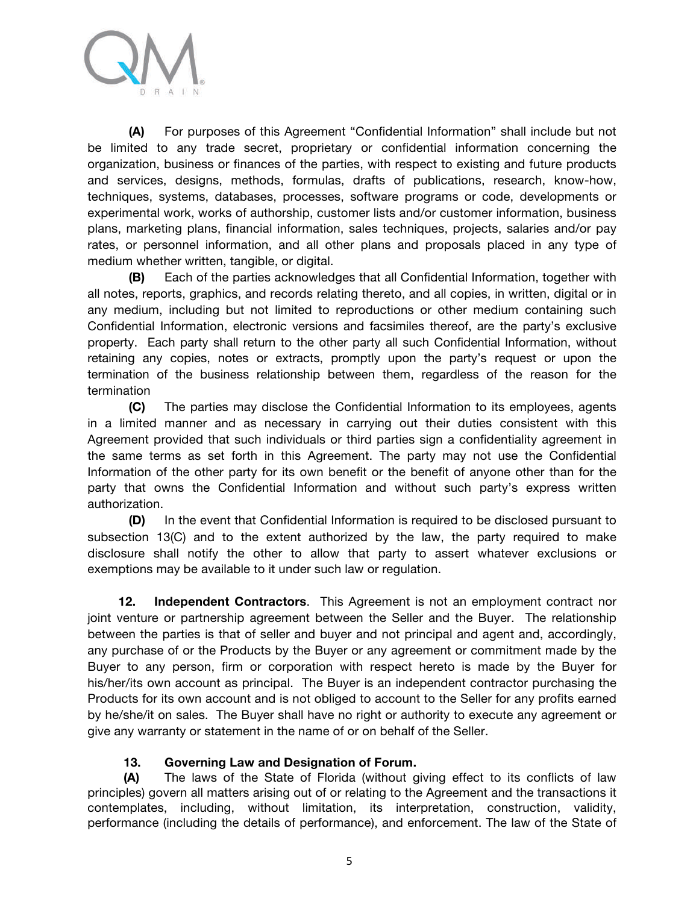

**(A)** For purposes of this Agreement "Confidential Information" shall include but not be limited to any trade secret, proprietary or confidential information concerning the organization, business or finances of the parties, with respect to existing and future products and services, designs, methods, formulas, drafts of publications, research, know-how, techniques, systems, databases, processes, software programs or code, developments or experimental work, works of authorship, customer lists and/or customer information, business plans, marketing plans, financial information, sales techniques, projects, salaries and/or pay rates, or personnel information, and all other plans and proposals placed in any type of medium whether written, tangible, or digital.

**(B)** Each of the parties acknowledges that all Confidential Information, together with all notes, reports, graphics, and records relating thereto, and all copies, in written, digital or in any medium, including but not limited to reproductions or other medium containing such Confidential Information, electronic versions and facsimiles thereof, are the party's exclusive property. Each party shall return to the other party all such Confidential Information, without retaining any copies, notes or extracts, promptly upon the party's request or upon the termination of the business relationship between them, regardless of the reason for the termination

**(C)** The parties may disclose the Confidential Information to its employees, agents in a limited manner and as necessary in carrying out their duties consistent with this Agreement provided that such individuals or third parties sign a confidentiality agreement in the same terms as set forth in this Agreement. The party may not use the Confidential Information of the other party for its own benefit or the benefit of anyone other than for the party that owns the Confidential Information and without such party's express written authorization.

**(D)** In the event that Confidential Information is required to be disclosed pursuant to subsection 13(C) and to the extent authorized by the law, the party required to make disclosure shall notify the other to allow that party to assert whatever exclusions or exemptions may be available to it under such law or regulation.

**12. Independent Contractors**. This Agreement is not an employment contract nor joint venture or partnership agreement between the Seller and the Buyer. The relationship between the parties is that of seller and buyer and not principal and agent and, accordingly, any purchase of or the Products by the Buyer or any agreement or commitment made by the Buyer to any person, firm or corporation with respect hereto is made by the Buyer for his/her/its own account as principal. The Buyer is an independent contractor purchasing the Products for its own account and is not obliged to account to the Seller for any profits earned by he/she/it on sales. The Buyer shall have no right or authority to execute any agreement or give any warranty or statement in the name of or on behalf of the Seller.

## **13. Governing Law and Designation of Forum.**

**(A)** The laws of the State of Florida (without giving effect to its conflicts of law principles) govern all matters arising out of or relating to the Agreement and the transactions it contemplates, including, without limitation, its interpretation, construction, validity, performance (including the details of performance), and enforcement. The law of the State of